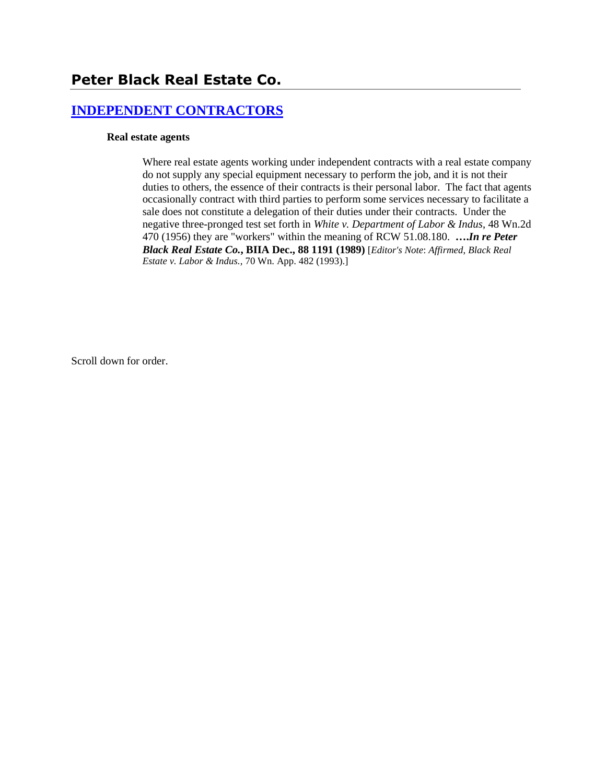# **[INDEPENDENT CONTRACTORS](http://www.biia.wa.gov/SDSubjectIndex.html#INDEPENDENT_CONTRACTORS)**

#### **Real estate agents**

Where real estate agents working under independent contracts with a real estate company do not supply any special equipment necessary to perform the job, and it is not their duties to others, the essence of their contracts is their personal labor. The fact that agents occasionally contract with third parties to perform some services necessary to facilitate a sale does not constitute a delegation of their duties under their contracts. Under the negative three-pronged test set forth in *White v. Department of Labor & Indus*, 48 Wn.2d 470 (1956) they are "workers" within the meaning of RCW 51.08.180. **….***In re Peter Black Real Estate Co.***, BIIA Dec., 88 1191 (1989)** [*Editor's Note*: *Affirmed*, *Black Real Estate v. Labor & Indus.,* 70 Wn. App. 482 (1993).]

Scroll down for order.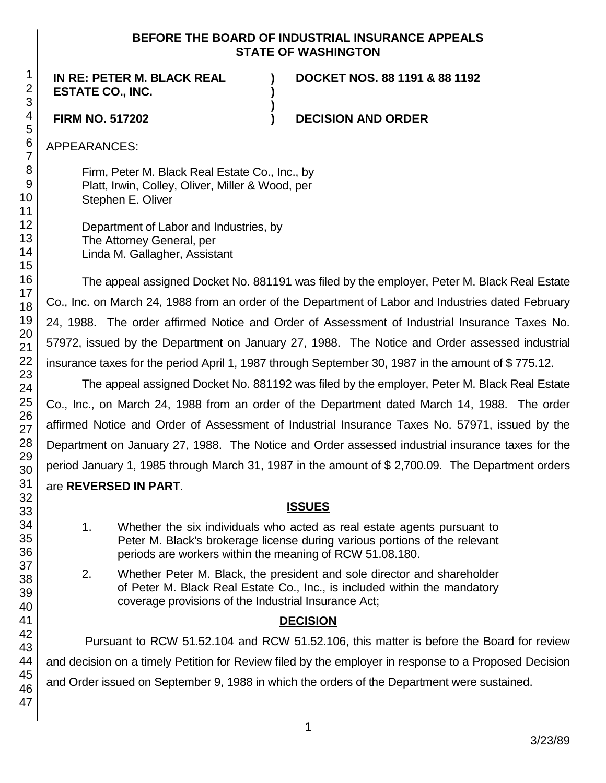### **BEFORE THE BOARD OF INDUSTRIAL INSURANCE APPEALS STATE OF WASHINGTON**

**) )**

**)**

**IN RE: PETER M. BLACK REAL ESTATE CO., INC.**

**DOCKET NOS. 88 1191 & 88 1192**

### **FIRM NO. 517202 ) DECISION AND ORDER**

APPEARANCES:

Firm, Peter M. Black Real Estate Co., Inc., by Platt, Irwin, Colley, Oliver, Miller & Wood, per Stephen E. Oliver

Department of Labor and Industries, by The Attorney General, per Linda M. Gallagher, Assistant

The appeal assigned Docket No. 881191 was filed by the employer, Peter M. Black Real Estate Co., Inc. on March 24, 1988 from an order of the Department of Labor and Industries dated February 24, 1988. The order affirmed Notice and Order of Assessment of Industrial Insurance Taxes No. 57972, issued by the Department on January 27, 1988. The Notice and Order assessed industrial insurance taxes for the period April 1, 1987 through September 30, 1987 in the amount of \$ 775.12.

The appeal assigned Docket No. 881192 was filed by the employer, Peter M. Black Real Estate Co., Inc., on March 24, 1988 from an order of the Department dated March 14, 1988. The order affirmed Notice and Order of Assessment of Industrial Insurance Taxes No. 57971, issued by the Department on January 27, 1988. The Notice and Order assessed industrial insurance taxes for the period January 1, 1985 through March 31, 1987 in the amount of \$ 2,700.09. The Department orders are **REVERSED IN PART**.

## **ISSUES**

- 1. Whether the six individuals who acted as real estate agents pursuant to Peter M. Black's brokerage license during various portions of the relevant periods are workers within the meaning of RCW 51.08.180.
- 2. Whether Peter M. Black, the president and sole director and shareholder of Peter M. Black Real Estate Co., Inc., is included within the mandatory coverage provisions of the Industrial Insurance Act;

## **DECISION**

Pursuant to RCW 51.52.104 and RCW 51.52.106, this matter is before the Board for review and decision on a timely Petition for Review filed by the employer in response to a Proposed Decision and Order issued on September 9, 1988 in which the orders of the Department were sustained.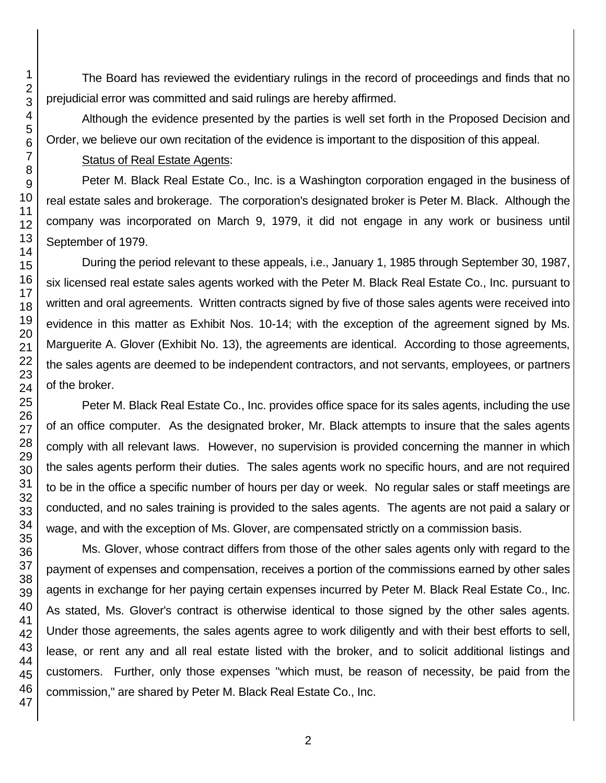The Board has reviewed the evidentiary rulings in the record of proceedings and finds that no prejudicial error was committed and said rulings are hereby affirmed.

Although the evidence presented by the parties is well set forth in the Proposed Decision and Order, we believe our own recitation of the evidence is important to the disposition of this appeal.

### Status of Real Estate Agents:

Peter M. Black Real Estate Co., Inc. is a Washington corporation engaged in the business of real estate sales and brokerage. The corporation's designated broker is Peter M. Black. Although the company was incorporated on March 9, 1979, it did not engage in any work or business until September of 1979.

During the period relevant to these appeals, i.e., January 1, 1985 through September 30, 1987, six licensed real estate sales agents worked with the Peter M. Black Real Estate Co., Inc. pursuant to written and oral agreements. Written contracts signed by five of those sales agents were received into evidence in this matter as Exhibit Nos. 10-14; with the exception of the agreement signed by Ms. Marguerite A. Glover (Exhibit No. 13), the agreements are identical. According to those agreements, the sales agents are deemed to be independent contractors, and not servants, employees, or partners of the broker.

Peter M. Black Real Estate Co., Inc. provides office space for its sales agents, including the use of an office computer. As the designated broker, Mr. Black attempts to insure that the sales agents comply with all relevant laws. However, no supervision is provided concerning the manner in which the sales agents perform their duties. The sales agents work no specific hours, and are not required to be in the office a specific number of hours per day or week. No regular sales or staff meetings are conducted, and no sales training is provided to the sales agents. The agents are not paid a salary or wage, and with the exception of Ms. Glover, are compensated strictly on a commission basis.

Ms. Glover, whose contract differs from those of the other sales agents only with regard to the payment of expenses and compensation, receives a portion of the commissions earned by other sales agents in exchange for her paying certain expenses incurred by Peter M. Black Real Estate Co., Inc. As stated, Ms. Glover's contract is otherwise identical to those signed by the other sales agents. Under those agreements, the sales agents agree to work diligently and with their best efforts to sell, lease, or rent any and all real estate listed with the broker, and to solicit additional listings and customers. Further, only those expenses "which must, be reason of necessity, be paid from the commission," are shared by Peter M. Black Real Estate Co., Inc.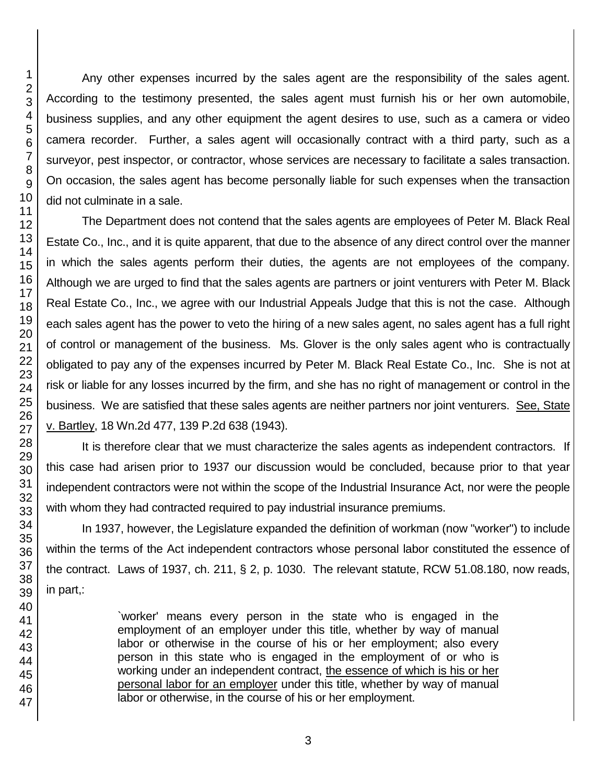Any other expenses incurred by the sales agent are the responsibility of the sales agent. According to the testimony presented, the sales agent must furnish his or her own automobile, business supplies, and any other equipment the agent desires to use, such as a camera or video camera recorder. Further, a sales agent will occasionally contract with a third party, such as a surveyor, pest inspector, or contractor, whose services are necessary to facilitate a sales transaction. On occasion, the sales agent has become personally liable for such expenses when the transaction did not culminate in a sale.

The Department does not contend that the sales agents are employees of Peter M. Black Real Estate Co., Inc., and it is quite apparent, that due to the absence of any direct control over the manner in which the sales agents perform their duties, the agents are not employees of the company. Although we are urged to find that the sales agents are partners or joint venturers with Peter M. Black Real Estate Co., Inc., we agree with our Industrial Appeals Judge that this is not the case. Although each sales agent has the power to veto the hiring of a new sales agent, no sales agent has a full right of control or management of the business. Ms. Glover is the only sales agent who is contractually obligated to pay any of the expenses incurred by Peter M. Black Real Estate Co., Inc. She is not at risk or liable for any losses incurred by the firm, and she has no right of management or control in the business. We are satisfied that these sales agents are neither partners nor joint venturers. See, State v. Bartley, 18 Wn.2d 477, 139 P.2d 638 (1943).

It is therefore clear that we must characterize the sales agents as independent contractors. If this case had arisen prior to 1937 our discussion would be concluded, because prior to that year independent contractors were not within the scope of the Industrial Insurance Act, nor were the people with whom they had contracted required to pay industrial insurance premiums.

In 1937, however, the Legislature expanded the definition of workman (now "worker") to include within the terms of the Act independent contractors whose personal labor constituted the essence of the contract. Laws of 1937, ch. 211, § 2, p. 1030. The relevant statute, RCW 51.08.180, now reads, in part,:

> `worker' means every person in the state who is engaged in the employment of an employer under this title, whether by way of manual labor or otherwise in the course of his or her employment; also every person in this state who is engaged in the employment of or who is working under an independent contract, the essence of which is his or her personal labor for an employer under this title, whether by way of manual labor or otherwise, in the course of his or her employment.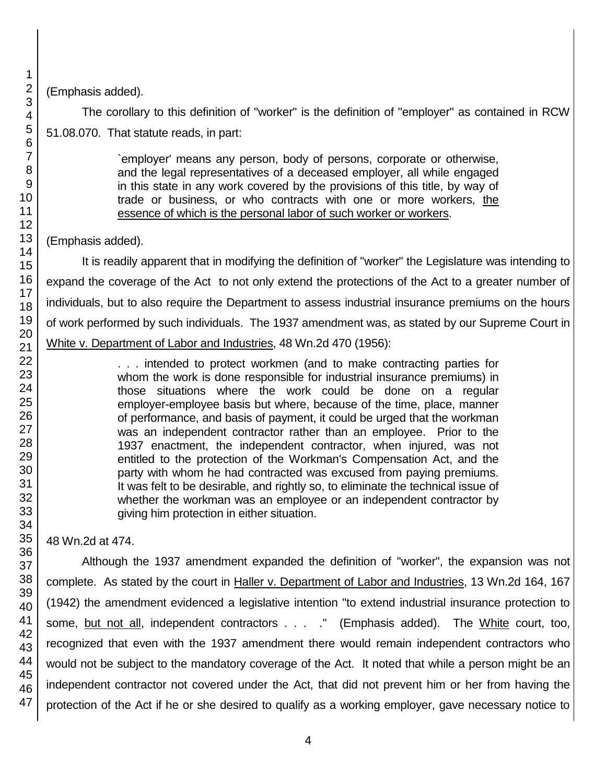(Emphasis added).

The corollary to this definition of "worker" is the definition of "employer" as contained in RCW 51.08.070. That statute reads, in part:

> `employer' means any person, body of persons, corporate or otherwise, and the legal representatives of a deceased employer, all while engaged in this state in any work covered by the provisions of this title, by way of trade or business, or who contracts with one or more workers, the essence of which is the personal labor of such worker or workers.

(Emphasis added).

It is readily apparent that in modifying the definition of "worker" the Legislature was intending to expand the coverage of the Act to not only extend the protections of the Act to a greater number of individuals, but to also require the Department to assess industrial insurance premiums on the hours of work performed by such individuals. The 1937 amendment was, as stated by our Supreme Court in White v. Department of Labor and Industries, 48 Wn.2d 470 (1956):

> . . . intended to protect workmen (and to make contracting parties for whom the work is done responsible for industrial insurance premiums) in those situations where the work could be done on a regular employer-employee basis but where, because of the time, place, manner of performance, and basis of payment, it could be urged that the workman was an independent contractor rather than an employee. Prior to the 1937 enactment, the independent contractor, when injured, was not entitled to the protection of the Workman's Compensation Act, and the party with whom he had contracted was excused from paying premiums. It was felt to be desirable, and rightly so, to eliminate the technical issue of whether the workman was an employee or an independent contractor by giving him protection in either situation.

48 Wn.2d at 474.

Although the 1937 amendment expanded the definition of "worker", the expansion was not complete. As stated by the court in Haller v. Department of Labor and Industries, 13 Wn.2d 164, 167 (1942) the amendment evidenced a legislative intention "to extend industrial insurance protection to some, but not all, independent contractors . . . . " (Emphasis added). The White court, too, recognized that even with the 1937 amendment there would remain independent contractors who would not be subject to the mandatory coverage of the Act. It noted that while a person might be an independent contractor not covered under the Act, that did not prevent him or her from having the protection of the Act if he or she desired to qualify as a working employer, gave necessary notice to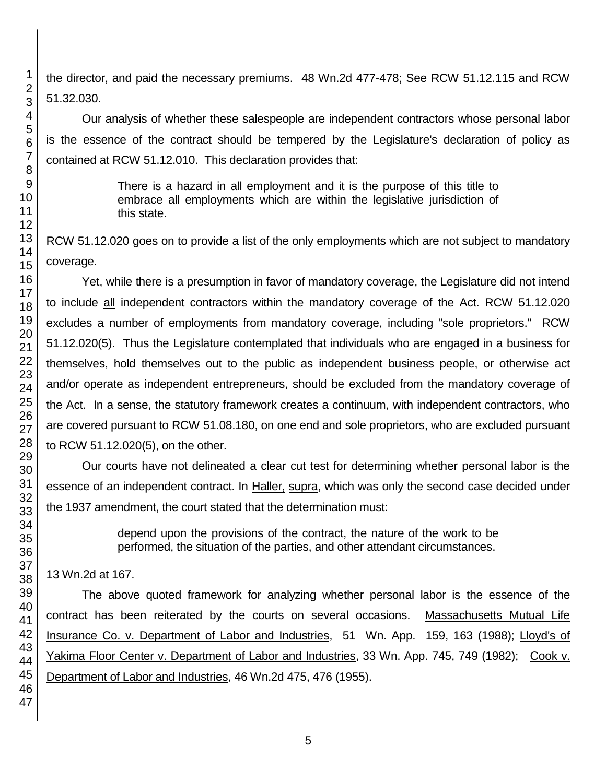the director, and paid the necessary premiums. 48 Wn.2d 477-478; See RCW 51.12.115 and RCW 51.32.030.

Our analysis of whether these salespeople are independent contractors whose personal labor is the essence of the contract should be tempered by the Legislature's declaration of policy as contained at RCW 51.12.010. This declaration provides that:

> There is a hazard in all employment and it is the purpose of this title to embrace all employments which are within the legislative jurisdiction of this state.

RCW 51.12.020 goes on to provide a list of the only employments which are not subject to mandatory coverage.

Yet, while there is a presumption in favor of mandatory coverage, the Legislature did not intend to include all independent contractors within the mandatory coverage of the Act. RCW 51.12.020 excludes a number of employments from mandatory coverage, including "sole proprietors." RCW 51.12.020(5). Thus the Legislature contemplated that individuals who are engaged in a business for themselves, hold themselves out to the public as independent business people, or otherwise act and/or operate as independent entrepreneurs, should be excluded from the mandatory coverage of the Act. In a sense, the statutory framework creates a continuum, with independent contractors, who are covered pursuant to RCW 51.08.180, on one end and sole proprietors, who are excluded pursuant to RCW 51.12.020(5), on the other.

Our courts have not delineated a clear cut test for determining whether personal labor is the essence of an independent contract. In Haller, supra, which was only the second case decided under the 1937 amendment, the court stated that the determination must:

> depend upon the provisions of the contract, the nature of the work to be performed, the situation of the parties, and other attendant circumstances.

## 13 Wn.2d at 167.

The above quoted framework for analyzing whether personal labor is the essence of the contract has been reiterated by the courts on several occasions. Massachusetts Mutual Life Insurance Co. v. Department of Labor and Industries, 51 Wn. App. 159, 163 (1988); Lloyd's of Yakima Floor Center v. Department of Labor and Industries, 33 Wn. App. 745, 749 (1982); Cook v. Department of Labor and Industries, 46 Wn.2d 475, 476 (1955).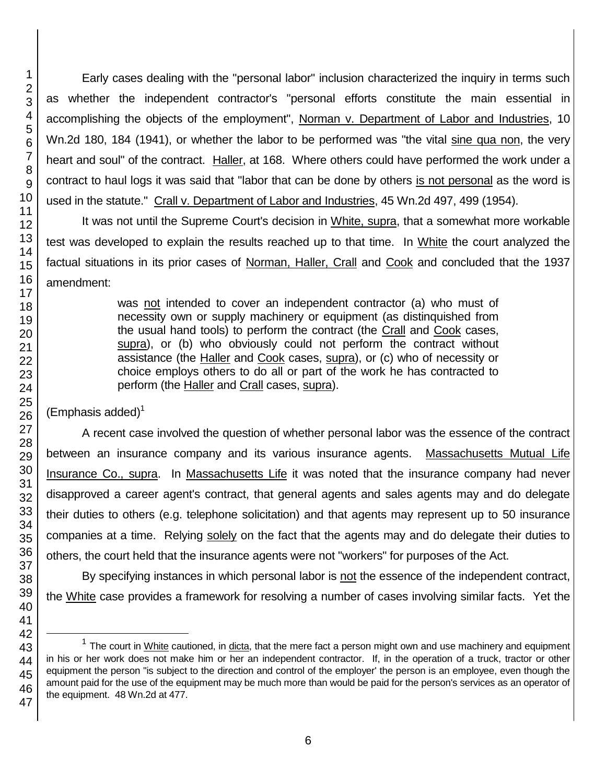Early cases dealing with the "personal labor" inclusion characterized the inquiry in terms such as whether the independent contractor's "personal efforts constitute the main essential in accomplishing the objects of the employment", Norman v. Department of Labor and Industries, 10 Wn.2d 180, 184 (1941), or whether the labor to be performed was "the vital sine qua non, the very heart and soul" of the contract. Haller, at 168. Where others could have performed the work under a contract to haul logs it was said that "labor that can be done by others is not personal as the word is used in the statute." Crall v. Department of Labor and Industries, 45 Wn.2d 497, 499 (1954).

It was not until the Supreme Court's decision in White, supra, that a somewhat more workable test was developed to explain the results reached up to that time. In White the court analyzed the factual situations in its prior cases of Norman, Haller, Crall and Cook and concluded that the 1937 amendment:

> was not intended to cover an independent contractor (a) who must of necessity own or supply machinery or equipment (as distinquished from the usual hand tools) to perform the contract (the Crall and Cook cases, supra), or (b) who obviously could not perform the contract without assistance (the Haller and Cook cases, supra), or (c) who of necessity or choice employs others to do all or part of the work he has contracted to perform (the Haller and Crall cases, supra).

 $(Emphasis added)^1$ 

A recent case involved the question of whether personal labor was the essence of the contract between an insurance company and its various insurance agents. Massachusetts Mutual Life Insurance Co., supra. In Massachusetts Life it was noted that the insurance company had never disapproved a career agent's contract, that general agents and sales agents may and do delegate their duties to others (e.g. telephone solicitation) and that agents may represent up to 50 insurance companies at a time. Relying solely on the fact that the agents may and do delegate their duties to others, the court held that the insurance agents were not "workers" for purposes of the Act.

By specifying instances in which personal labor is not the essence of the independent contract, the White case provides a framework for resolving a number of cases involving similar facts. Yet the

l

 $1$  The court in White cautioned, in dicta, that the mere fact a person might own and use machinery and equipment in his or her work does not make him or her an independent contractor. If, in the operation of a truck, tractor or other equipment the person "is subject to the direction and control of the employer' the person is an employee, even though the amount paid for the use of the equipment may be much more than would be paid for the person's services as an operator of the equipment. 48 Wn.2d at 477.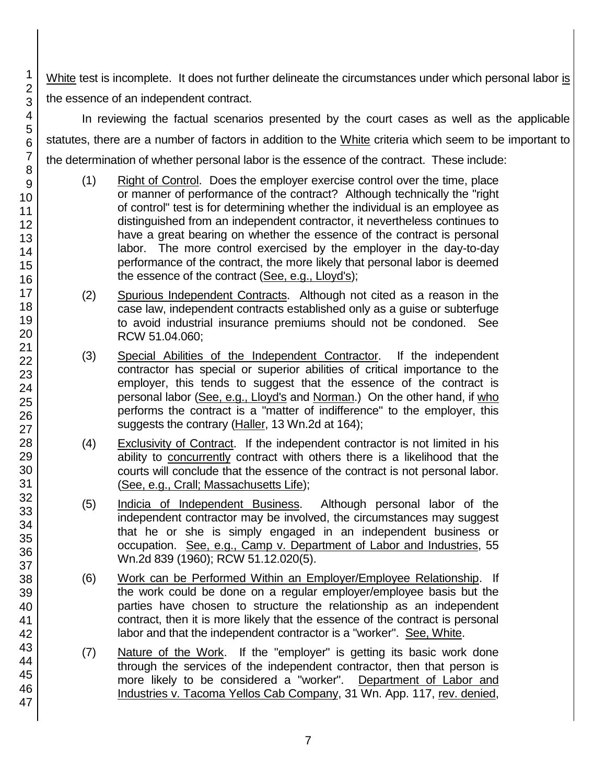White test is incomplete. It does not further delineate the circumstances under which personal labor is the essence of an independent contract.

In reviewing the factual scenarios presented by the court cases as well as the applicable statutes, there are a number of factors in addition to the White criteria which seem to be important to the determination of whether personal labor is the essence of the contract. These include:

- (1) Right of Control. Does the employer exercise control over the time, place or manner of performance of the contract? Although technically the "right of control" test is for determining whether the individual is an employee as distinguished from an independent contractor, it nevertheless continues to have a great bearing on whether the essence of the contract is personal labor. The more control exercised by the employer in the day-to-day performance of the contract, the more likely that personal labor is deemed the essence of the contract (See, e.g., Lloyd's);
- (2) Spurious Independent Contracts. Although not cited as a reason in the case law, independent contracts established only as a guise or subterfuge to avoid industrial insurance premiums should not be condoned. See RCW 51.04.060;
- (3) Special Abilities of the Independent Contractor. If the independent contractor has special or superior abilities of critical importance to the employer, this tends to suggest that the essence of the contract is personal labor (See, e.g., Lloyd's and Norman.) On the other hand, if who performs the contract is a "matter of indifference" to the employer, this suggests the contrary (Haller, 13 Wn.2d at 164);
- (4) Exclusivity of Contract. If the independent contractor is not limited in his ability to concurrently contract with others there is a likelihood that the courts will conclude that the essence of the contract is not personal labor. (See, e.g., Crall; Massachusetts Life);
- (5) Indicia of Independent Business. Although personal labor of the independent contractor may be involved, the circumstances may suggest that he or she is simply engaged in an independent business or occupation. See, e.g., Camp v. Department of Labor and Industries, 55 Wn.2d 839 (1960); RCW 51.12.020(5).
- (6) Work can be Performed Within an Employer/Employee Relationship. If the work could be done on a regular employer/employee basis but the parties have chosen to structure the relationship as an independent contract, then it is more likely that the essence of the contract is personal labor and that the independent contractor is a "worker". See, White.
- (7) Nature of the Work. If the "employer" is getting its basic work done through the services of the independent contractor, then that person is more likely to be considered a "worker". Department of Labor and Industries v. Tacoma Yellos Cab Company, 31 Wn. App. 117, rev. denied,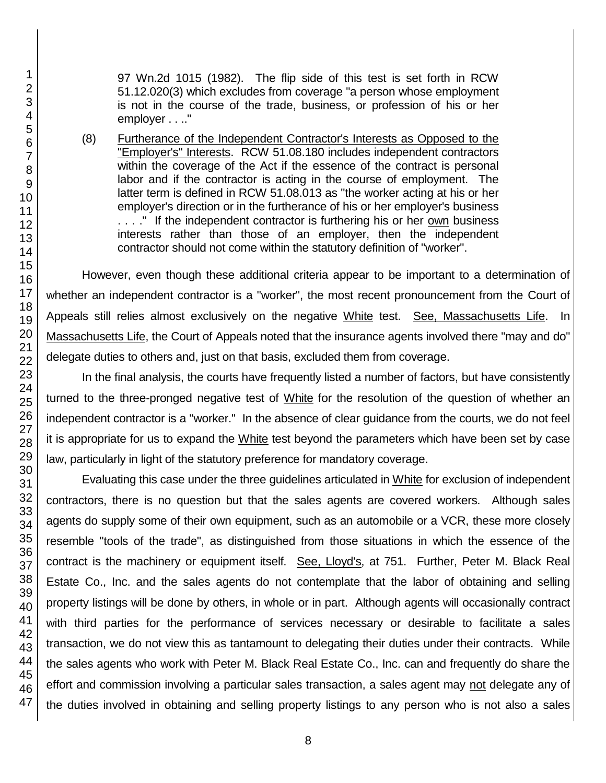97 Wn.2d 1015 (1982). The flip side of this test is set forth in RCW 51.12.020(3) which excludes from coverage "a person whose employment is not in the course of the trade, business, or profession of his or her employer . . .."

(8) Furtherance of the Independent Contractor's Interests as Opposed to the "Employer's" Interests. RCW 51.08.180 includes independent contractors within the coverage of the Act if the essence of the contract is personal labor and if the contractor is acting in the course of employment. The latter term is defined in RCW 51.08.013 as "the worker acting at his or her employer's direction or in the furtherance of his or her employer's business ...." If the independent contractor is furthering his or her own business interests rather than those of an employer, then the independent contractor should not come within the statutory definition of "worker".

However, even though these additional criteria appear to be important to a determination of whether an independent contractor is a "worker", the most recent pronouncement from the Court of Appeals still relies almost exclusively on the negative White test. See, Massachusetts Life. In Massachusetts Life, the Court of Appeals noted that the insurance agents involved there "may and do" delegate duties to others and, just on that basis, excluded them from coverage.

In the final analysis, the courts have frequently listed a number of factors, but have consistently turned to the three-pronged negative test of White for the resolution of the question of whether an independent contractor is a "worker." In the absence of clear guidance from the courts, we do not feel it is appropriate for us to expand the White test beyond the parameters which have been set by case law, particularly in light of the statutory preference for mandatory coverage.

Evaluating this case under the three guidelines articulated in White for exclusion of independent contractors, there is no question but that the sales agents are covered workers. Although sales agents do supply some of their own equipment, such as an automobile or a VCR, these more closely resemble "tools of the trade", as distinguished from those situations in which the essence of the contract is the machinery or equipment itself. See, Lloyd's, at 751. Further, Peter M. Black Real Estate Co., Inc. and the sales agents do not contemplate that the labor of obtaining and selling property listings will be done by others, in whole or in part. Although agents will occasionally contract with third parties for the performance of services necessary or desirable to facilitate a sales transaction, we do not view this as tantamount to delegating their duties under their contracts. While the sales agents who work with Peter M. Black Real Estate Co., Inc. can and frequently do share the effort and commission involving a particular sales transaction, a sales agent may not delegate any of the duties involved in obtaining and selling property listings to any person who is not also a sales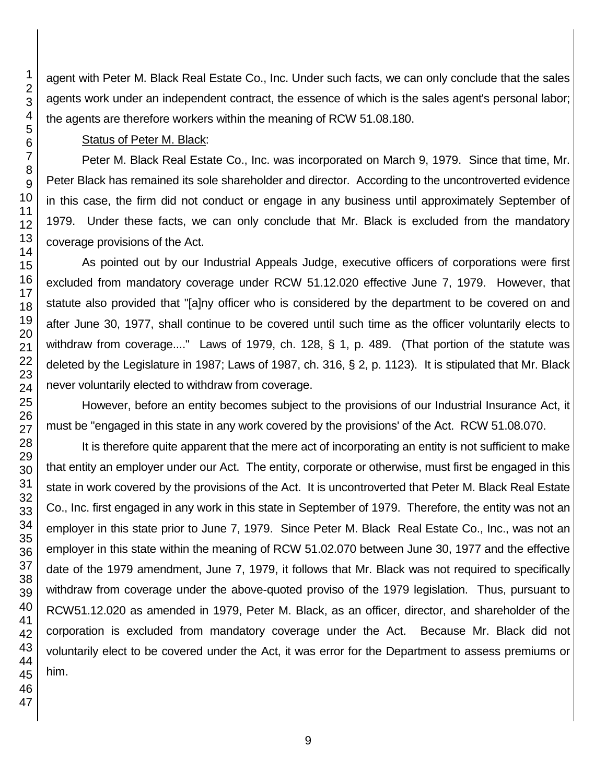agent with Peter M. Black Real Estate Co., Inc. Under such facts, we can only conclude that the sales agents work under an independent contract, the essence of which is the sales agent's personal labor; the agents are therefore workers within the meaning of RCW 51.08.180.

## Status of Peter M. Black:

Peter M. Black Real Estate Co., Inc. was incorporated on March 9, 1979. Since that time, Mr. Peter Black has remained its sole shareholder and director. According to the uncontroverted evidence in this case, the firm did not conduct or engage in any business until approximately September of 1979. Under these facts, we can only conclude that Mr. Black is excluded from the mandatory coverage provisions of the Act.

As pointed out by our Industrial Appeals Judge, executive officers of corporations were first excluded from mandatory coverage under RCW 51.12.020 effective June 7, 1979. However, that statute also provided that "[a]ny officer who is considered by the department to be covered on and after June 30, 1977, shall continue to be covered until such time as the officer voluntarily elects to withdraw from coverage...." Laws of 1979, ch. 128, § 1, p. 489. (That portion of the statute was deleted by the Legislature in 1987; Laws of 1987, ch. 316, § 2, p. 1123). It is stipulated that Mr. Black never voluntarily elected to withdraw from coverage.

However, before an entity becomes subject to the provisions of our Industrial Insurance Act, it must be "engaged in this state in any work covered by the provisions' of the Act. RCW 51.08.070.

It is therefore quite apparent that the mere act of incorporating an entity is not sufficient to make that entity an employer under our Act. The entity, corporate or otherwise, must first be engaged in this state in work covered by the provisions of the Act. It is uncontroverted that Peter M. Black Real Estate Co., Inc. first engaged in any work in this state in September of 1979. Therefore, the entity was not an employer in this state prior to June 7, 1979. Since Peter M. Black Real Estate Co., Inc., was not an employer in this state within the meaning of RCW 51.02.070 between June 30, 1977 and the effective date of the 1979 amendment, June 7, 1979, it follows that Mr. Black was not required to specifically withdraw from coverage under the above-quoted proviso of the 1979 legislation. Thus, pursuant to RCW51.12.020 as amended in 1979, Peter M. Black, as an officer, director, and shareholder of the corporation is excluded from mandatory coverage under the Act. Because Mr. Black did not voluntarily elect to be covered under the Act, it was error for the Department to assess premiums or him.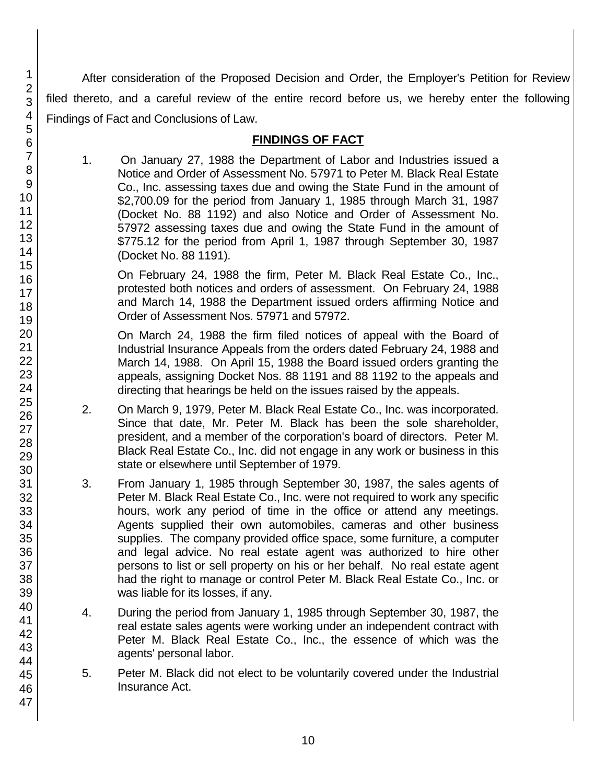After consideration of the Proposed Decision and Order, the Employer's Petition for Review filed thereto, and a careful review of the entire record before us, we hereby enter the following Findings of Fact and Conclusions of Law.

## **FINDINGS OF FACT**

1. On January 27, 1988 the Department of Labor and Industries issued a Notice and Order of Assessment No. 57971 to Peter M. Black Real Estate Co., Inc. assessing taxes due and owing the State Fund in the amount of \$2,700.09 for the period from January 1, 1985 through March 31, 1987 (Docket No. 88 1192) and also Notice and Order of Assessment No. 57972 assessing taxes due and owing the State Fund in the amount of \$775.12 for the period from April 1, 1987 through September 30, 1987 (Docket No. 88 1191).

On February 24, 1988 the firm, Peter M. Black Real Estate Co., Inc., protested both notices and orders of assessment. On February 24, 1988 and March 14, 1988 the Department issued orders affirming Notice and Order of Assessment Nos. 57971 and 57972.

On March 24, 1988 the firm filed notices of appeal with the Board of Industrial Insurance Appeals from the orders dated February 24, 1988 and March 14, 1988. On April 15, 1988 the Board issued orders granting the appeals, assigning Docket Nos. 88 1191 and 88 1192 to the appeals and directing that hearings be held on the issues raised by the appeals.

- 2. On March 9, 1979, Peter M. Black Real Estate Co., Inc. was incorporated. Since that date, Mr. Peter M. Black has been the sole shareholder, president, and a member of the corporation's board of directors. Peter M. Black Real Estate Co., Inc. did not engage in any work or business in this state or elsewhere until September of 1979.
- 3. From January 1, 1985 through September 30, 1987, the sales agents of Peter M. Black Real Estate Co., Inc. were not required to work any specific hours, work any period of time in the office or attend any meetings. Agents supplied their own automobiles, cameras and other business supplies. The company provided office space, some furniture, a computer and legal advice. No real estate agent was authorized to hire other persons to list or sell property on his or her behalf. No real estate agent had the right to manage or control Peter M. Black Real Estate Co., Inc. or was liable for its losses, if any.
- 4. During the period from January 1, 1985 through September 30, 1987, the real estate sales agents were working under an independent contract with Peter M. Black Real Estate Co., Inc., the essence of which was the agents' personal labor.
- 5. Peter M. Black did not elect to be voluntarily covered under the Industrial Insurance Act.